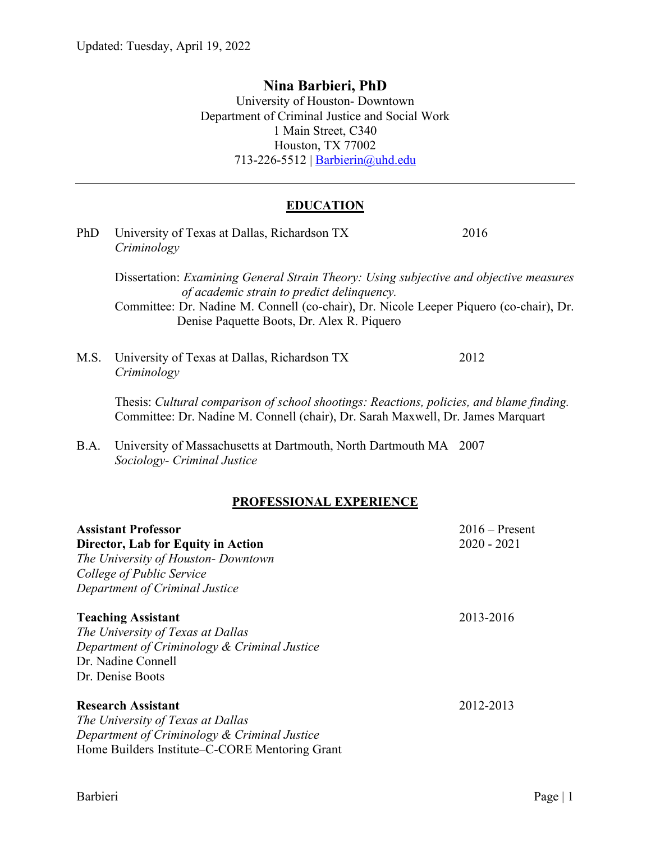# **Nina Barbieri, PhD**

University of Houston- Downtown Department of Criminal Justice and Social Work 1 Main Street, C340 Houston, TX 77002 713-226-5512 | [Barbierin@uhd.edu](mailto:Barbierin@uhd.edu)

# **EDUCATION**

| PhD                                                                                                                                                                    | University of Texas at Dallas, Richardson TX<br>Criminology                                                                                                                 | 2016                              |
|------------------------------------------------------------------------------------------------------------------------------------------------------------------------|-----------------------------------------------------------------------------------------------------------------------------------------------------------------------------|-----------------------------------|
|                                                                                                                                                                        | Dissertation: Examining General Strain Theory: Using subjective and objective measures<br>of academic strain to predict delinquency.                                        |                                   |
|                                                                                                                                                                        | Committee: Dr. Nadine M. Connell (co-chair), Dr. Nicole Leeper Piquero (co-chair), Dr.<br>Denise Paquette Boots, Dr. Alex R. Piquero                                        |                                   |
| M.S.                                                                                                                                                                   | University of Texas at Dallas, Richardson TX<br>Criminology                                                                                                                 | 2012                              |
|                                                                                                                                                                        | Thesis: Cultural comparison of school shootings: Reactions, policies, and blame finding.<br>Committee: Dr. Nadine M. Connell (chair), Dr. Sarah Maxwell, Dr. James Marquart |                                   |
| B.A.                                                                                                                                                                   | University of Massachusetts at Dartmouth, North Dartmouth MA 2007<br>Sociology- Criminal Justice                                                                            |                                   |
|                                                                                                                                                                        | <b>PROFESSIONAL EXPERIENCE</b>                                                                                                                                              |                                   |
| <b>Assistant Professor</b><br>Director, Lab for Equity in Action<br>The University of Houston- Downtown<br>College of Public Service<br>Department of Criminal Justice |                                                                                                                                                                             | $2016$ – Present<br>$2020 - 2021$ |
| <b>Teaching Assistant</b><br>2013-2016<br>The University of Texas at Dallas<br>Department of Criminology & Criminal Justice<br>Dr. Nadine Connell<br>Dr. Denise Boots  |                                                                                                                                                                             |                                   |
| <b>Research Assistant</b><br>The University of Texas at Dallas<br>Department of Criminology & Criminal Justice<br>Home Builders Institute–C-CORE Mentoring Grant       |                                                                                                                                                                             | 2012-2013                         |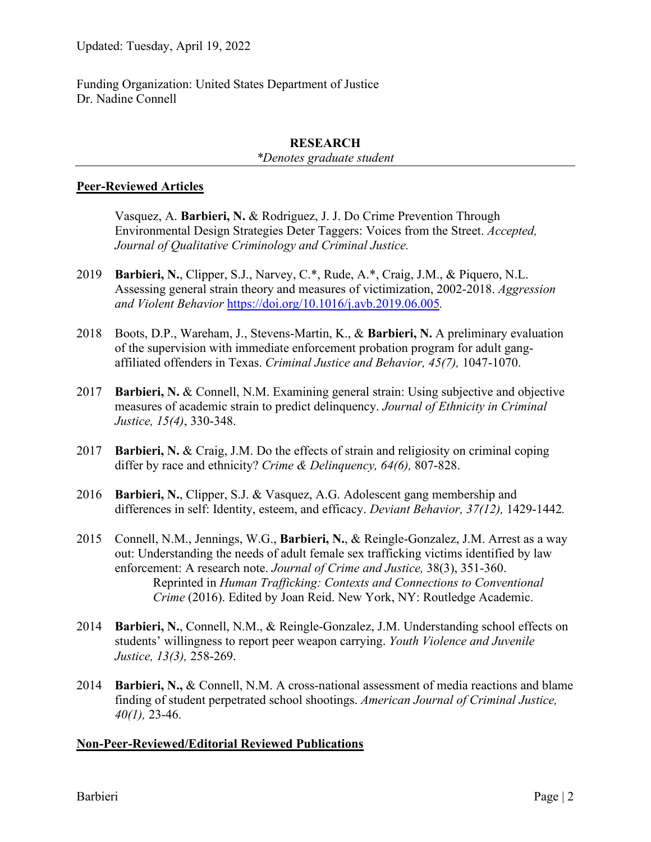Funding Organization: United States Department of Justice Dr. Nadine Connell

#### **RESEARCH**

*\*Denotes graduate student*

#### **Peer-Reviewed Articles**

Vasquez, A. **Barbieri, N.** & Rodriguez, J. J. Do Crime Prevention Through Environmental Design Strategies Deter Taggers: Voices from the Street. *Accepted, Journal of Qualitative Criminology and Criminal Justice.*

- 2019 **Barbieri, N.**, Clipper, S.J., Narvey, C.\*, Rude, A.\*, Craig, J.M., & Piquero, N.L. Assessing general strain theory and measures of victimization, 2002-2018. *Aggression and Violent Behavior* <https://doi.org/10.1016/j.avb.2019.06.005>*.*
- 2018 Boots, D.P., Wareham, J., Stevens-Martin, K., & **Barbieri, N.** A preliminary evaluation of the supervision with immediate enforcement probation program for adult gangaffiliated offenders in Texas. *Criminal Justice and Behavior, 45(7),* 1047-1070.
- 2017 **Barbieri, N.** & Connell, N.M. Examining general strain: Using subjective and objective measures of academic strain to predict delinquency. *Journal of Ethnicity in Criminal Justice, 15(4)*, 330-348.
- 2017 **Barbieri, N.** & Craig, J.M. Do the effects of strain and religiosity on criminal coping differ by race and ethnicity? *Crime & Delinquency, 64(6),* 807-828.
- 2016 **Barbieri, N.**, Clipper, S.J. & Vasquez, A.G. Adolescent gang membership and differences in self: Identity, esteem, and efficacy. *Deviant Behavior, 37(12),* 1429-1442*.*
- 2015 Connell, N.M., Jennings, W.G., **Barbieri, N.**, & Reingle-Gonzalez, J.M. Arrest as a way out: Understanding the needs of adult female sex trafficking victims identified by law enforcement: A research note. *Journal of Crime and Justice,* 38(3), 351-360. Reprinted in *Human Trafficking: Contexts and Connections to Conventional Crime* (2016). Edited by Joan Reid. New York, NY: Routledge Academic.
- 2014 **Barbieri, N.**, Connell, N.M., & Reingle-Gonzalez, J.M. Understanding school effects on students' willingness to report peer weapon carrying. *Youth Violence and Juvenile Justice, 13(3),* 258-269.
- 2014 **Barbieri, N.,** & Connell, N.M. A cross-national assessment of media reactions and blame finding of student perpetrated school shootings. *American Journal of Criminal Justice, 40(1),* 23-46.

#### **Non-Peer-Reviewed/Editorial Reviewed Publications**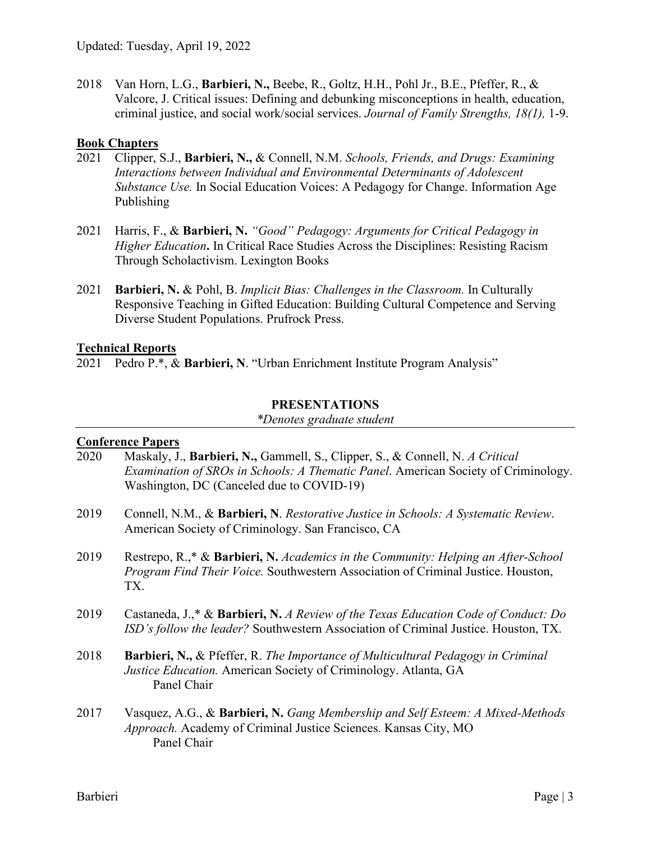2018 Van Horn, L.G., **Barbieri, N.,** Beebe, R., Goltz, H.H., Pohl Jr., B.E., Pfeffer, R., & Valcore, J. Critical issues: Defining and debunking misconceptions in health, education, criminal justice, and social work/social services. *Journal of Family Strengths, 18(1),* 1-9.

#### **Book Chapters**

- 2021 Clipper, S.J., **Barbieri, N.,** & Connell, N.M. *Schools, Friends, and Drugs: Examining Interactions between Individual and Environmental Determinants of Adolescent Substance Use.* In Social Education Voices: A Pedagogy for Change. Information Age Publishing
- 2021 Harris, F., & **Barbieri, N.** *"Good" Pedagogy: Arguments for Critical Pedagogy in Higher Education***.** In Critical Race Studies Across the Disciplines: Resisting Racism Through Scholactivism. Lexington Books
- 2021 **Barbieri, N.** & Pohl, B. *Implicit Bias: Challenges in the Classroom.* In Culturally Responsive Teaching in Gifted Education: Building Cultural Competence and Serving Diverse Student Populations. Prufrock Press.

#### **Technical Reports**

2021 Pedro P.\*, & **Barbieri, N**. "Urban Enrichment Institute Program Analysis"

#### **PRESENTATIONS**

*\*Denotes graduate student*

#### **Conference Papers**

- 2020 Maskaly, J., **Barbieri, N.,** Gammell, S., Clipper, S., & Connell, N. *A Critical Examination of SROs in Schools: A Thematic Panel*. American Society of Criminology. Washington, DC (Canceled due to COVID-19)
- 2019 Connell, N.M., & **Barbieri, N**. *Restorative Justice in Schools: A Systematic Review*. American Society of Criminology. San Francisco, CA
- 2019 Restrepo, R.,\* & **Barbieri, N.** *Academics in the Community: Helping an After-School Program Find Their Voice.* Southwestern Association of Criminal Justice. Houston, TX.
- 2019 Castaneda, J.,\* & **Barbieri, N.** *A Review of the Texas Education Code of Conduct: Do ISD's follow the leader?* Southwestern Association of Criminal Justice. Houston, TX.
- 2018 **Barbieri, N.,** & Pfeffer, R. *The Importance of Multicultural Pedagogy in Criminal Justice Education.* American Society of Criminology. Atlanta, GA Panel Chair
- 2017 Vasquez, A.G., & **Barbieri, N.** *Gang Membership and Self Esteem: A Mixed-Methods Approach.* Academy of Criminal Justice Sciences. Kansas City, MO Panel Chair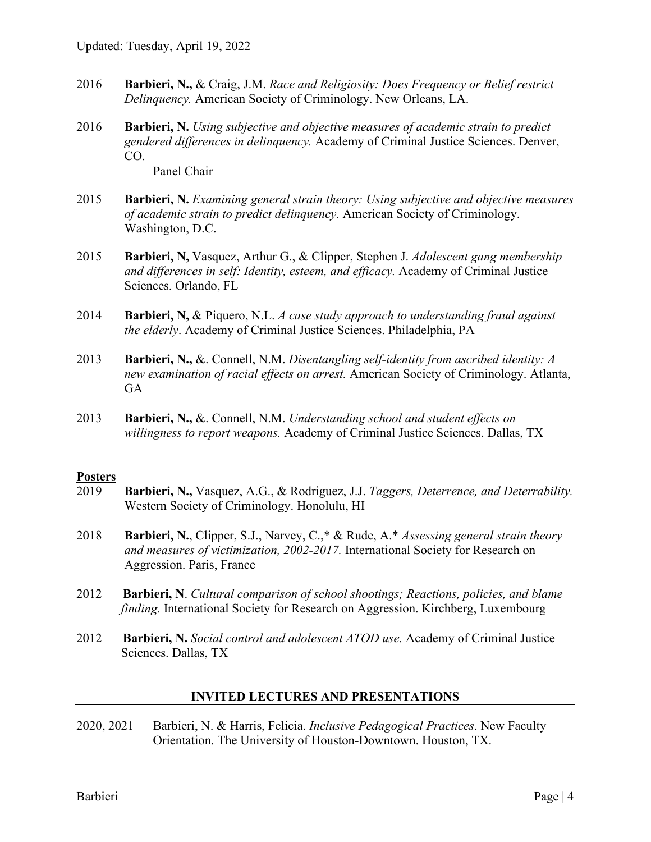- 2016 **Barbieri, N.,** & Craig, J.M. *Race and Religiosity: Does Frequency or Belief restrict Delinquency.* American Society of Criminology. New Orleans, LA.
- 2016 **Barbieri, N.** *Using subjective and objective measures of academic strain to predict gendered differences in delinquency.* Academy of Criminal Justice Sciences. Denver, CO.

Panel Chair

- 2015 **Barbieri, N.** *Examining general strain theory: Using subjective and objective measures of academic strain to predict delinquency.* American Society of Criminology. Washington, D.C.
- 2015 **Barbieri, N,** Vasquez, Arthur G., & Clipper, Stephen J. *Adolescent gang membership and differences in self: Identity, esteem, and efficacy.* Academy of Criminal Justice Sciences. Orlando, FL
- 2014 **Barbieri, N,** & Piquero, N.L. *A case study approach to understanding fraud against the elderly*. Academy of Criminal Justice Sciences. Philadelphia, PA
- 2013 **Barbieri, N.,** &. Connell, N.M. *Disentangling self-identity from ascribed identity: A new examination of racial effects on arrest.* American Society of Criminology. Atlanta, GA
- 2013 **Barbieri, N.,** &. Connell, N.M. *Understanding school and student effects on willingness to report weapons.* Academy of Criminal Justice Sciences. Dallas, TX

# **Posters**<br>2019

- 2019 **Barbieri, N.,** Vasquez, A.G., & Rodriguez, J.J. *Taggers, Deterrence, and Deterrability.*  Western Society of Criminology. Honolulu, HI
- 2018 **Barbieri, N.**, Clipper, S.J., Narvey, C.,\* & Rude, A.\* *Assessing general strain theory and measures of victimization, 2002-2017.* International Society for Research on Aggression. Paris, France
- 2012 **Barbieri, N**. *Cultural comparison of school shootings; Reactions, policies, and blame finding.* International Society for Research on Aggression. Kirchberg, Luxembourg
- 2012 **Barbieri, N.** *Social control and adolescent ATOD use.* Academy of Criminal Justice Sciences. Dallas, TX

#### **INVITED LECTURES AND PRESENTATIONS**

2020, 2021 Barbieri, N. & Harris, Felicia. *Inclusive Pedagogical Practices*. New Faculty Orientation. The University of Houston-Downtown. Houston, TX.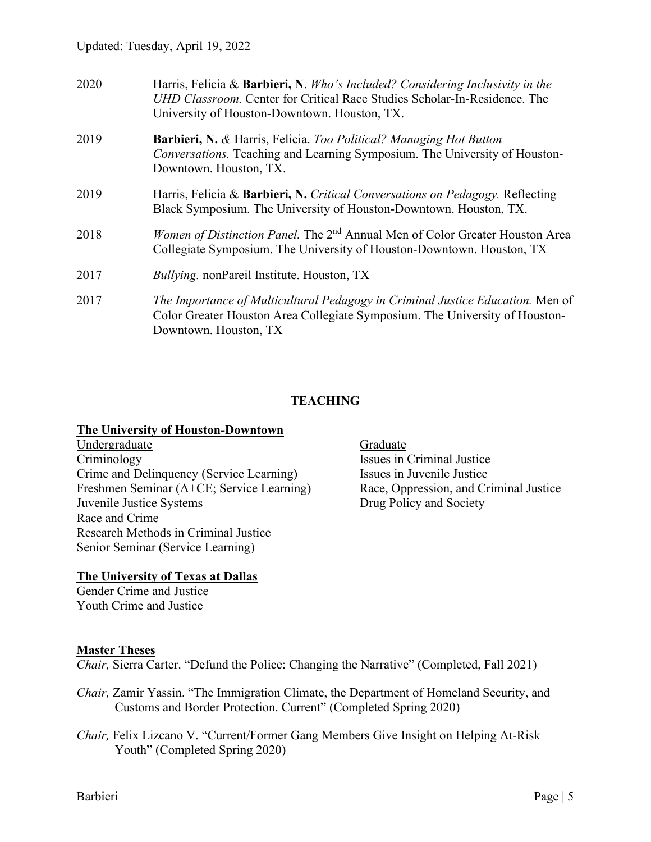| 2020 | Harris, Felicia & Barbieri, N. Who's Included? Considering Inclusivity in the<br>UHD Classroom. Center for Critical Race Studies Scholar-In-Residence. The<br>University of Houston-Downtown. Houston, TX. |
|------|------------------------------------------------------------------------------------------------------------------------------------------------------------------------------------------------------------|
| 2019 | Barbieri, N. & Harris, Felicia. Too Political? Managing Hot Button<br>Conversations. Teaching and Learning Symposium. The University of Houston-<br>Downtown. Houston, TX.                                 |
| 2019 | Harris, Felicia & Barbieri, N. Critical Conversations on Pedagogy. Reflecting<br>Black Symposium. The University of Houston-Downtown. Houston, TX.                                                         |
| 2018 | <i>Women of Distinction Panel.</i> The 2 <sup>nd</sup> Annual Men of Color Greater Houston Area<br>Collegiate Symposium. The University of Houston-Downtown. Houston, TX                                   |
| 2017 | <i>Bullying.</i> nonPareil Institute. Houston, TX                                                                                                                                                          |
| 2017 | The Importance of Multicultural Pedagogy in Criminal Justice Education. Men of<br>Color Greater Houston Area Collegiate Symposium. The University of Houston-<br>Downtown. Houston, TX                     |

### **TEACHING**

#### **The University of Houston-Downtown**

Undergraduate Graduate Graduate Criminology Crime and Delinquency (Service Learning) Freshmen Seminar (A+CE; Service Learning) Juvenile Justice Systems Race and Crime Research Methods in Criminal Justice Senior Seminar (Service Learning)

Issues in Criminal Justice Issues in Juvenile Justice Race, Oppression, and Criminal Justice Drug Policy and Society

#### **The University of Texas at Dallas**

Gender Crime and Justice Youth Crime and Justice

#### **Master Theses**

*Chair,* Sierra Carter. "Defund the Police: Changing the Narrative" (Completed, Fall 2021)

- *Chair,* Zamir Yassin. "The Immigration Climate, the Department of Homeland Security, and Customs and Border Protection. Current" (Completed Spring 2020)
- *Chair,* Felix Lizcano V. "Current/Former Gang Members Give Insight on Helping At-Risk Youth" (Completed Spring 2020)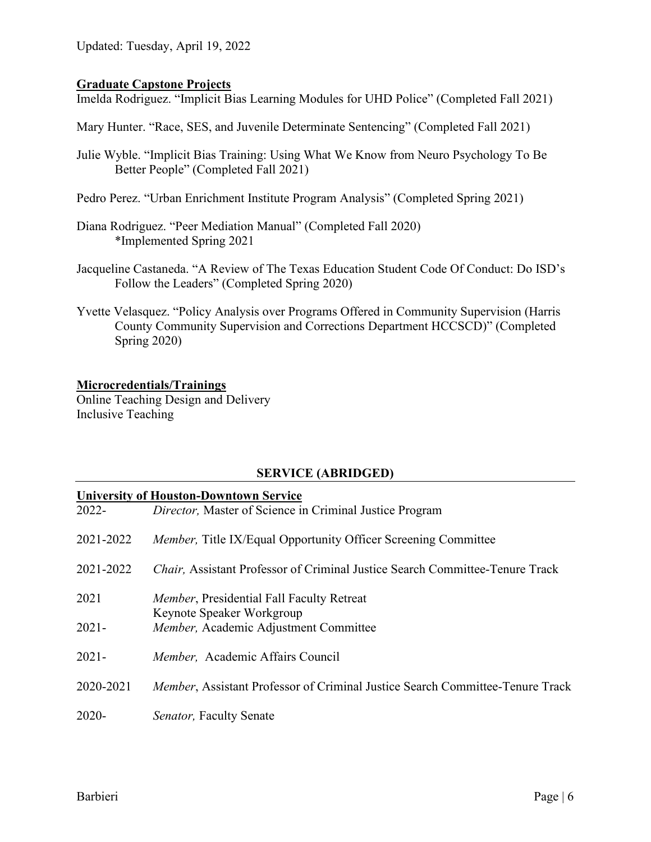Updated: Tuesday, April 19, 2022

#### **Graduate Capstone Projects**

Imelda Rodriguez. "Implicit Bias Learning Modules for UHD Police" (Completed Fall 2021)

Mary Hunter. "Race, SES, and Juvenile Determinate Sentencing" (Completed Fall 2021)

- Julie Wyble. "Implicit Bias Training: Using What We Know from Neuro Psychology To Be Better People" (Completed Fall 2021)
- Pedro Perez. "Urban Enrichment Institute Program Analysis" (Completed Spring 2021)
- Diana Rodriguez. "Peer Mediation Manual" (Completed Fall 2020) \*Implemented Spring 2021
- Jacqueline Castaneda. "A Review of The Texas Education Student Code Of Conduct: Do ISD's Follow the Leaders" (Completed Spring 2020)
- Yvette Velasquez. "Policy Analysis over Programs Offered in Community Supervision (Harris County Community Supervision and Corrections Department HCCSCD)" (Completed Spring 2020)

#### **Microcredentials/Trainings**

Online Teaching Design and Delivery Inclusive Teaching

#### **SERVICE (ABRIDGED)**

#### **University of Houston-Downtown Service**

| $2022 -$  | Director, Master of Science in Criminal Justice Program                               |
|-----------|---------------------------------------------------------------------------------------|
| 2021-2022 | <i>Member</i> , Title IX/Equal Opportunity Officer Screening Committee                |
| 2021-2022 | Chair, Assistant Professor of Criminal Justice Search Committee-Tenure Track          |
| 2021      | Member, Presidential Fall Faculty Retreat<br>Keynote Speaker Workgroup                |
| $2021 -$  | Member, Academic Adjustment Committee                                                 |
| $2021 -$  | Member, Academic Affairs Council                                                      |
| 2020-2021 | <i>Member</i> , Assistant Professor of Criminal Justice Search Committee-Tenure Track |
| $2020 -$  | Senator, Faculty Senate                                                               |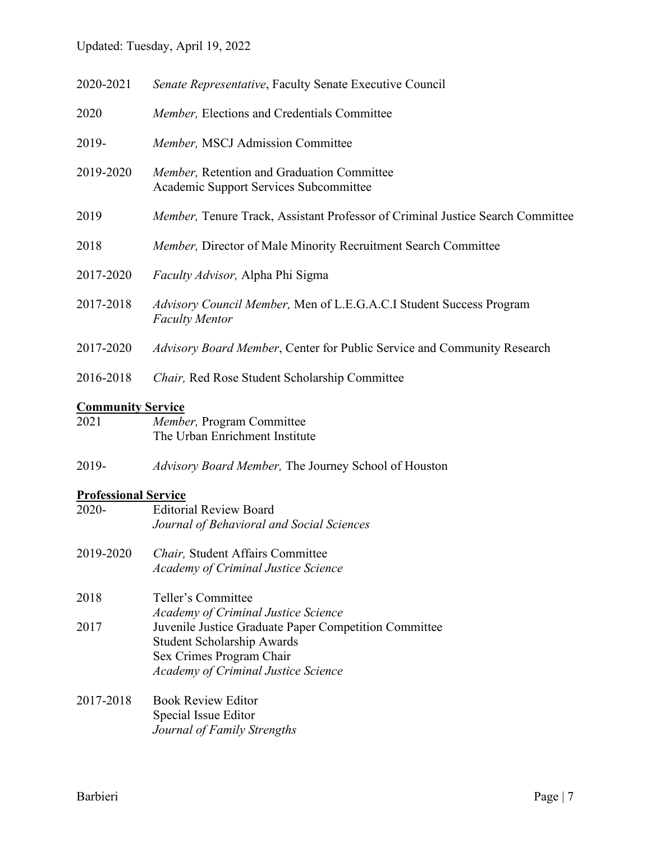# Updated: Tuesday, April 19, 2022

| 2020-2021                | Senate Representative, Faculty Senate Executive Council                                      |
|--------------------------|----------------------------------------------------------------------------------------------|
| 2020                     | Member, Elections and Credentials Committee                                                  |
| 2019-                    | Member, MSCJ Admission Committee                                                             |
| 2019-2020                | Member, Retention and Graduation Committee<br>Academic Support Services Subcommittee         |
| 2019                     | Member, Tenure Track, Assistant Professor of Criminal Justice Search Committee               |
| 2018                     | Member, Director of Male Minority Recruitment Search Committee                               |
| 2017-2020                | <i>Faculty Advisor</i> , Alpha Phi Sigma                                                     |
| 2017-2018                | Advisory Council Member, Men of L.E.G.A.C.I Student Success Program<br><b>Faculty Mentor</b> |
| 2017-2020                | Advisory Board Member, Center for Public Service and Community Research                      |
| 2016-2018                | Chair, Red Rose Student Scholarship Committee                                                |
| <b>Community Service</b> |                                                                                              |
| 2021                     | <i>Member</i> , Program Committee                                                            |

| 2021 | <i>Member</i> , Program Committee |
|------|-----------------------------------|
|      | The Urban Enrichment Institute    |

2019- *Advisory Board Member,* The Journey School of Houston

# **Professional Service**

| $2020 -$  | <b>Editorial Review Board</b><br>Journal of Behavioral and Social Sciences                                                                                           |
|-----------|----------------------------------------------------------------------------------------------------------------------------------------------------------------------|
| 2019-2020 | <i>Chair</i> , Student Affairs Committee<br><b>Academy of Criminal Justice Science</b>                                                                               |
| 2018      | Teller's Committee<br><b>Academy of Criminal Justice Science</b>                                                                                                     |
| 2017      | Juvenile Justice Graduate Paper Competition Committee<br><b>Student Scholarship Awards</b><br>Sex Crimes Program Chair<br><b>Academy of Criminal Justice Science</b> |
| 2017-2018 | <b>Book Review Editor</b><br>Special Issue Editor                                                                                                                    |

*Journal of Family Strengths*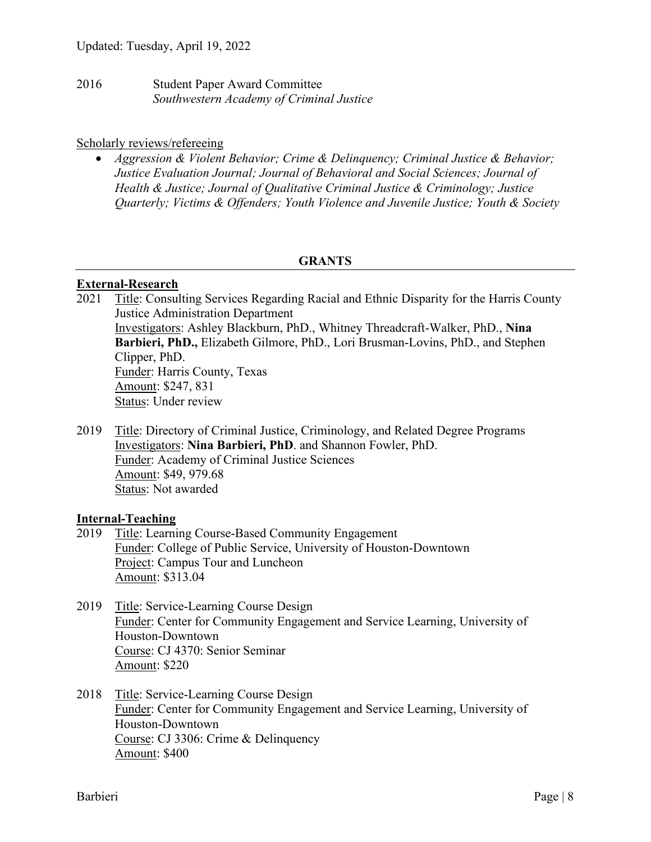2016 Student Paper Award Committee *Southwestern Academy of Criminal Justice* 

#### Scholarly reviews/refereeing

• *Aggression & Violent Behavior; Crime & Delinquency; Criminal Justice & Behavior; Justice Evaluation Journal; Journal of Behavioral and Social Sciences; Journal of Health & Justice; Journal of Qualitative Criminal Justice & Criminology; Justice Quarterly; Victims & Offenders; Youth Violence and Juvenile Justice; Youth & Society* 

#### **GRANTS**

#### **External-Research**

- 2021 Title: Consulting Services Regarding Racial and Ethnic Disparity for the Harris County Justice Administration Department Investigators: Ashley Blackburn, PhD., Whitney Threadcraft-Walker, PhD., **Nina Barbieri, PhD.,** Elizabeth Gilmore, PhD., Lori Brusman-Lovins, PhD., and Stephen Clipper, PhD. Funder: Harris County, Texas Amount: \$247, 831 Status: Under review
- 2019 Title: Directory of Criminal Justice, Criminology, and Related Degree Programs Investigators: **Nina Barbieri, PhD**. and Shannon Fowler, PhD. Funder: Academy of Criminal Justice Sciences Amount: \$49, 979.68 Status: Not awarded

#### **Internal-Teaching**

- 2019 Title: Learning Course-Based Community Engagement Funder: College of Public Service, University of Houston-Downtown Project: Campus Tour and Luncheon Amount: \$313.04
- 2019 Title: Service-Learning Course Design Funder: Center for Community Engagement and Service Learning, University of Houston-Downtown Course: CJ 4370: Senior Seminar Amount: \$220
- 2018 Title: Service-Learning Course Design Funder: Center for Community Engagement and Service Learning, University of Houston-Downtown Course: CJ 3306: Crime & Delinquency Amount: \$400